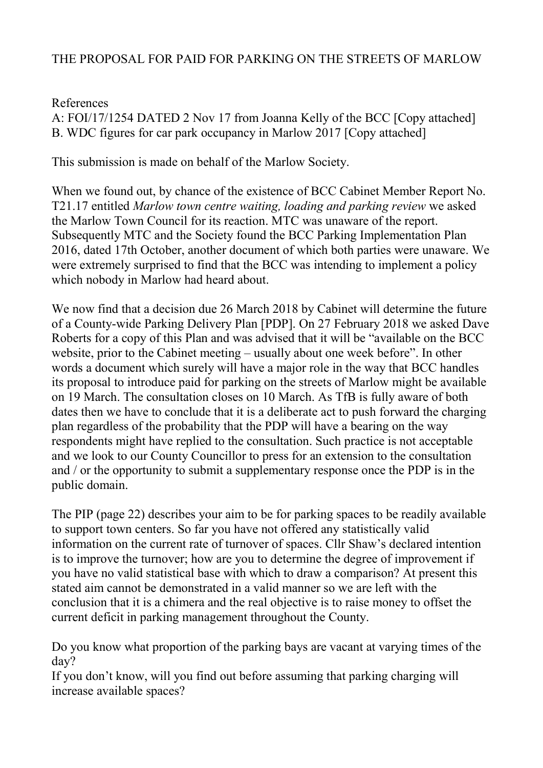## THE PROPOSAL FOR PAID FOR PARKING ON THE STREETS OF MARLOW

## References

A: FOI/17/1254 DATED 2 Nov 17 from Joanna Kelly of the BCC [Copy attached] B. WDC figures for car park occupancy in Marlow 2017 [Copy attached]

This submission is made on behalf of the Marlow Society.

When we found out, by chance of the existence of BCC Cabinet Member Report No. T21.17 entitled *Marlow town centre waiting, loading and parking review* we asked the Marlow Town Council for its reaction. MTC was unaware of the report. Subsequently MTC and the Society found the BCC Parking Implementation Plan 2016, dated 17th October, another document of which both parties were unaware. We were extremely surprised to find that the BCC was intending to implement a policy which nobody in Marlow had heard about.

We now find that a decision due 26 March 2018 by Cabinet will determine the future of a County-wide Parking Delivery Plan [PDP]. On 27 February 2018 we asked Dave Roberts for a copy of this Plan and was advised that it will be "available on the BCC website, prior to the Cabinet meeting – usually about one week before". In other words a document which surely will have a major role in the way that BCC handles its proposal to introduce paid for parking on the streets of Marlow might be available on 19 March. The consultation closes on 10 March. As TfB is fully aware of both dates then we have to conclude that it is a deliberate act to push forward the charging plan regardless of the probability that the PDP will have a bearing on the way respondents might have replied to the consultation. Such practice is not acceptable and we look to our County Councillor to press for an extension to the consultation and / or the opportunity to submit a supplementary response once the PDP is in the public domain.

The PIP (page 22) describes your aim to be for parking spaces to be readily available to support town centers. So far you have not offered any statistically valid information on the current rate of turnover of spaces. Cllr Shaw's declared intention is to improve the turnover; how are you to determine the degree of improvement if you have no valid statistical base with which to draw a comparison? At present this stated aim cannot be demonstrated in a valid manner so we are left with the conclusion that it is a chimera and the real objective is to raise money to offset the current deficit in parking management throughout the County.

Do you know what proportion of the parking bays are vacant at varying times of the day?

If you don't know, will you find out before assuming that parking charging will increase available spaces?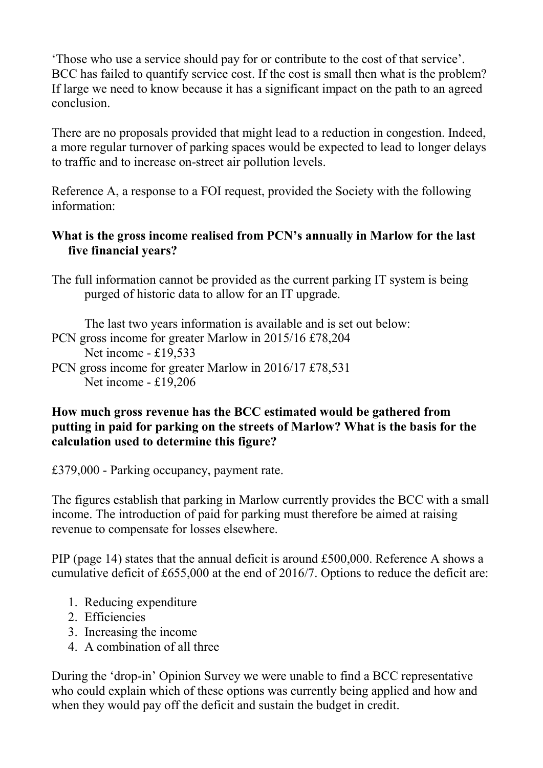'Those who use a service should pay for or contribute to the cost of that service'. BCC has failed to quantify service cost. If the cost is small then what is the problem? If large we need to know because it has a significant impact on the path to an agreed conclusion.

There are no proposals provided that might lead to a reduction in congestion. Indeed, a more regular turnover of parking spaces would be expected to lead to longer delays to traffic and to increase on-street air pollution levels.

Reference A, a response to a FOI request, provided the Society with the following information:

## **What is the gross income realised from PCN's annually in Marlow for the last five financial years?**

The full information cannot be provided as the current parking IT system is being purged of historic data to allow for an IT upgrade.

The last two years information is available and is set out below: PCN gross income for greater Marlow in 2015/16 £78,204 Net income - £19,533 PCN gross income for greater Marlow in 2016/17 £78,531 Net income - £19,206

## **How much gross revenue has the BCC estimated would be gathered from putting in paid for parking on the streets of Marlow? What is the basis for the calculation used to determine this figure?**

£379,000 - Parking occupancy, payment rate.

The figures establish that parking in Marlow currently provides the BCC with a small income. The introduction of paid for parking must therefore be aimed at raising revenue to compensate for losses elsewhere.

PIP (page 14) states that the annual deficit is around £500,000. Reference A shows a cumulative deficit of £655,000 at the end of 2016/7. Options to reduce the deficit are:

- 1. Reducing expenditure
- 2. Efficiencies
- 3. Increasing the income
- 4. A combination of all three

During the 'drop-in' Opinion Survey we were unable to find a BCC representative who could explain which of these options was currently being applied and how and when they would pay off the deficit and sustain the budget in credit.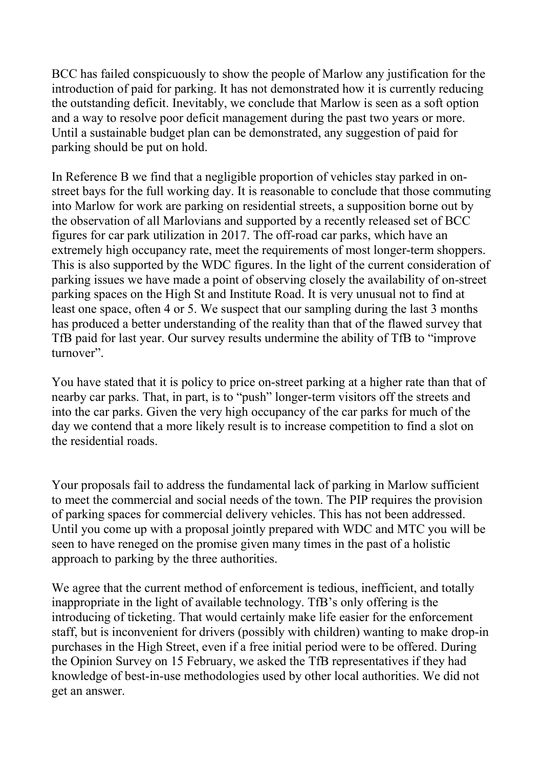BCC has failed conspicuously to show the people of Marlow any justification for the introduction of paid for parking. It has not demonstrated how it is currently reducing the outstanding deficit. Inevitably, we conclude that Marlow is seen as a soft option and a way to resolve poor deficit management during the past two years or more. Until a sustainable budget plan can be demonstrated, any suggestion of paid for parking should be put on hold.

In Reference B we find that a negligible proportion of vehicles stay parked in onstreet bays for the full working day. It is reasonable to conclude that those commuting into Marlow for work are parking on residential streets, a supposition borne out by the observation of all Marlovians and supported by a recently released set of BCC figures for car park utilization in 2017. The off-road car parks, which have an extremely high occupancy rate, meet the requirements of most longer-term shoppers. This is also supported by the WDC figures. In the light of the current consideration of parking issues we have made a point of observing closely the availability of on-street parking spaces on the High St and Institute Road. It is very unusual not to find at least one space, often 4 or 5. We suspect that our sampling during the last 3 months has produced a better understanding of the reality than that of the flawed survey that TfB paid for last year. Our survey results undermine the ability of TfB to "improve turnover".

You have stated that it is policy to price on-street parking at a higher rate than that of nearby car parks. That, in part, is to "push" longer-term visitors off the streets and into the car parks. Given the very high occupancy of the car parks for much of the day we contend that a more likely result is to increase competition to find a slot on the residential roads.

Your proposals fail to address the fundamental lack of parking in Marlow sufficient to meet the commercial and social needs of the town. The PIP requires the provision of parking spaces for commercial delivery vehicles. This has not been addressed. Until you come up with a proposal jointly prepared with WDC and MTC you will be seen to have reneged on the promise given many times in the past of a holistic approach to parking by the three authorities.

We agree that the current method of enforcement is tedious, inefficient, and totally inappropriate in the light of available technology. TfB's only offering is the introducing of ticketing. That would certainly make life easier for the enforcement staff, but is inconvenient for drivers (possibly with children) wanting to make drop-in purchases in the High Street, even if a free initial period were to be offered. During the Opinion Survey on 15 February, we asked the TfB representatives if they had knowledge of best-in-use methodologies used by other local authorities. We did not get an answer.